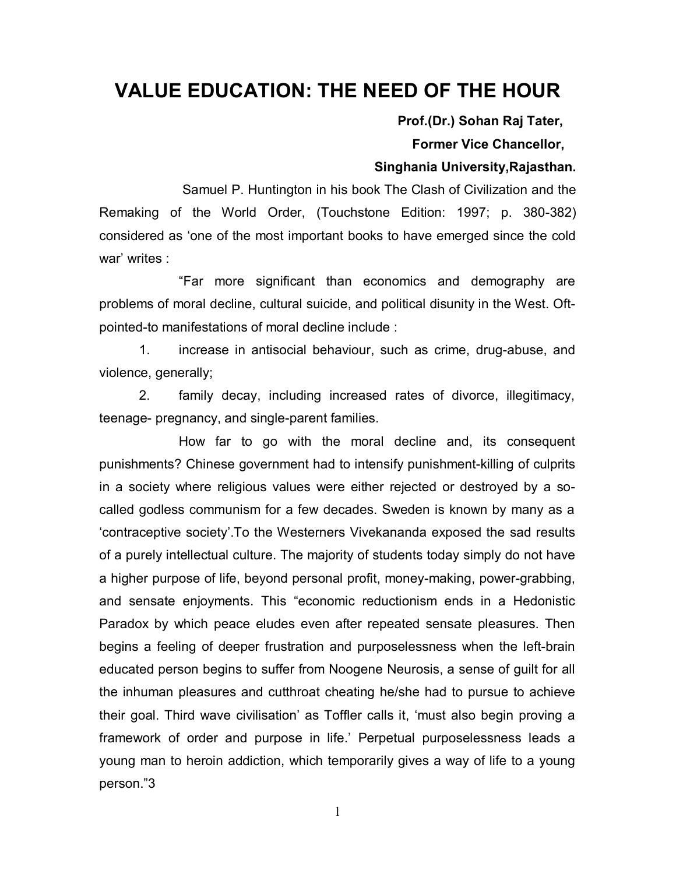# **VALUE EDUCATION: THE NEED OF THE HOUR**

 **Prof.(Dr.) Sohan Raj Tater,** 

 **Former Vice Chancellor,**

#### **Singhania University,Rajasthan.**

Samuel P. Huntington in his book The Clash of Civilization and the Remaking of the World Order, (Touchstone Edition: 1997; p. 380-382) considered as 'one of the most important books to have emerged since the cold war' writes :

"Far more significant than economics and demography are problems of moral decline, cultural suicide, and political disunity in the West. Oftpointed-to manifestations of moral decline include :

1. increase in antisocial behaviour, such as crime, drug-abuse, and violence, generally;

2. family decay, including increased rates of divorce, illegitimacy, teenage- pregnancy, and single-parent families.

How far to go with the moral decline and, its consequent punishments? Chinese government had to intensify punishment-killing of culprits in a society where religious values were either rejected or destroyed by a socalled godless communism for a few decades. Sweden is known by many as a 'contraceptive society'.To the Westerners Vivekananda exposed the sad results of a purely intellectual culture. The majority of students today simply do not have a higher purpose of life, beyond personal profit, money-making, power-grabbing, and sensate enjoyments. This "economic reductionism ends in a Hedonistic Paradox by which peace eludes even after repeated sensate pleasures. Then begins a feeling of deeper frustration and purposelessness when the left-brain educated person begins to suffer from Noogene Neurosis, a sense of guilt for all the inhuman pleasures and cutthroat cheating he/she had to pursue to achieve their goal. Third wave civilisation' as Toffler calls it, 'must also begin proving a framework of order and purpose in life.' Perpetual purposelessness leads a young man to heroin addiction, which temporarily gives a way of life to a young person."3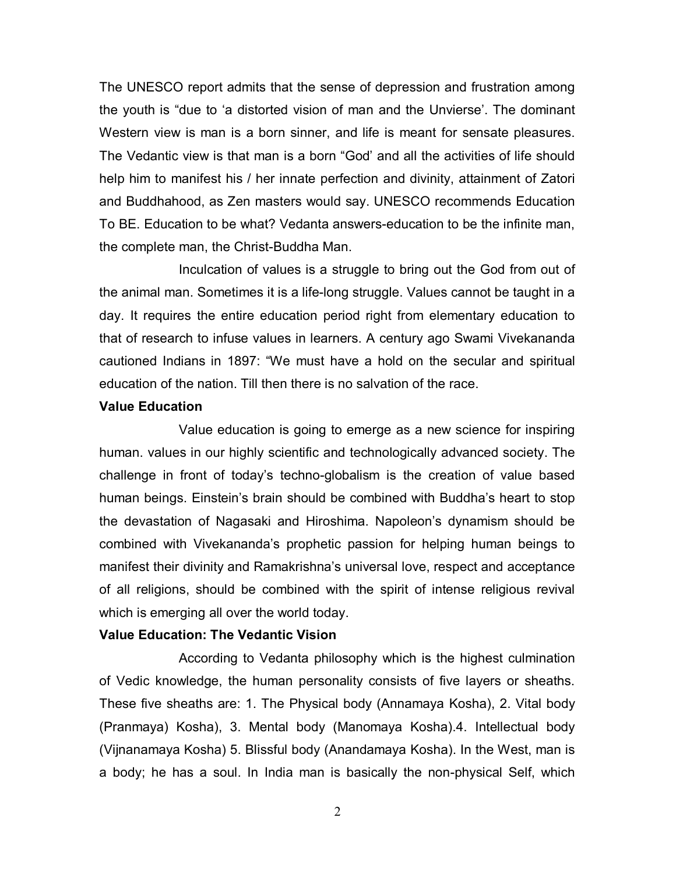The UNESCO report admits that the sense of depression and frustration among the youth is "due to 'a distorted vision of man and the Unvierse'. The dominant Western view is man is a born sinner, and life is meant for sensate pleasures. The Vedantic view is that man is a born "God' and all the activities of life should help him to manifest his / her innate perfection and divinity, attainment of Zatori and Buddhahood, as Zen masters would say. UNESCO recommends Education To BE. Education to be what? Vedanta answers-education to be the infinite man, the complete man, the Christ-Buddha Man.

Inculcation of values is a struggle to bring out the God from out of the animal man. Sometimes it is a life-long struggle. Values cannot be taught in a day. It requires the entire education period right from elementary education to that of research to infuse values in learners. A century ago Swami Vivekananda cautioned Indians in 1897: "We must have a hold on the secular and spiritual education of the nation. Till then there is no salvation of the race.

### **Value Education**

Value education is going to emerge as a new science for inspiring human. values in our highly scientific and technologically advanced society. The challenge in front of today's techno-globalism is the creation of value based human beings. Einstein's brain should be combined with Buddha's heart to stop the devastation of Nagasaki and Hiroshima. Napoleon's dynamism should be combined with Vivekananda's prophetic passion for helping human beings to manifest their divinity and Ramakrishna's universal love, respect and acceptance of all religions, should be combined with the spirit of intense religious revival which is emerging all over the world today.

#### **Value Education: The Vedantic Vision**

According to Vedanta philosophy which is the highest culmination of Vedic knowledge, the human personality consists of five layers or sheaths. These five sheaths are: 1. The Physical body (Annamaya Kosha), 2. Vital body (Pranmaya) Kosha), 3. Mental body (Manomaya Kosha).4. Intellectual body (Vijnanamaya Kosha) 5. Blissful body (Anandamaya Kosha). In the West, man is a body; he has a soul. In India man is basically the non-physical Self, which

2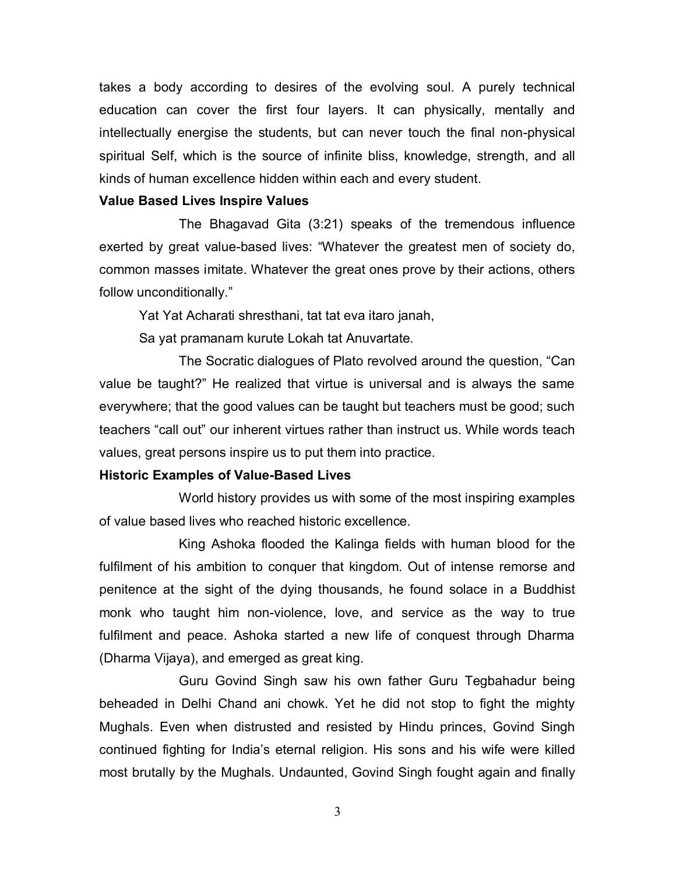takes a body according to desires of the evolving soul. A purely technical education can cover the first four layers. It can physically, mentally and intellectually energise the students, but can never touch the final non-physical spiritual Self, which is the source of infinite bliss, knowledge, strength, and all kinds of human excellence hidden within each and every student.

#### **Value Based Lives Inspire Values**

The Bhagavad Gita (3:21) speaks of the tremendous influence exerted by great value-based lives: "Whatever the greatest men of society do, common masses imitate. Whatever the great ones prove by their actions, others follow unconditionally."

Yat Yat Acharati shresthani, tat tat eva itaro janah,

Sa yat pramanam kurute Lokah tat Anuvartate.

The Socratic dialogues of Plato revolved around the question, "Can value be taught?" He realized that virtue is universal and is always the same everywhere; that the good values can be taught but teachers must be good; such teachers "call out" our inherent virtues rather than instruct us. While words teach values, great persons inspire us to put them into practice.

#### **Historic Examples of Value-Based Lives**

World history provides us with some of the most inspiring examples of value based lives who reached historic excellence.

King Ashoka flooded the Kalinga fields with human blood for the fulfilment of his ambition to conquer that kingdom. Out of intense remorse and penitence at the sight of the dying thousands, he found solace in a Buddhist monk who taught him non-violence, love, and service as the way to true fulfilment and peace. Ashoka started a new life of conquest through Dharma (Dharma Vijaya), and emerged as great king.

Guru Govind Singh saw his own father Guru Tegbahadur being beheaded in Delhi Chand ani chowk. Yet he did not stop to fight the mighty Mughals. Even when distrusted and resisted by Hindu princes, Govind Singh continued fighting for India's eternal religion. His sons and his wife were killed most brutally by the Mughals. Undaunted, Govind Singh fought again and finally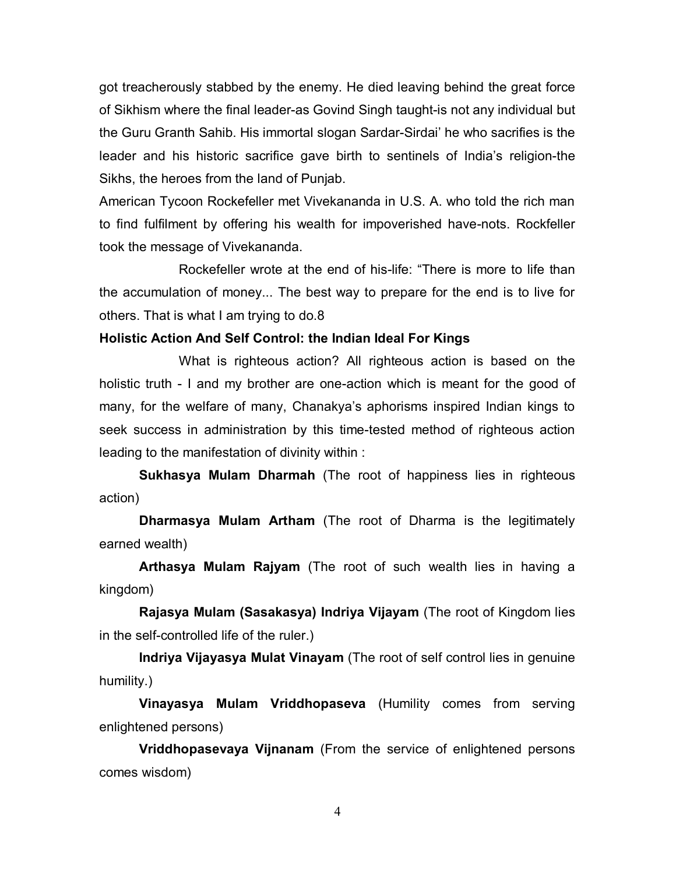got treacherously stabbed by the enemy. He died leaving behind the great force of Sikhism where the final leader-as Govind Singh taught-is not any individual but the Guru Granth Sahib. His immortal slogan Sardar-Sirdai' he who sacrifies is the leader and his historic sacrifice gave birth to sentinels of India's religion-the Sikhs, the heroes from the land of Punjab.

American Tycoon Rockefeller met Vivekananda in U.S. A. who told the rich man to find fulfilment by offering his wealth for impoverished have-nots. Rockfeller took the message of Vivekananda.

Rockefeller wrote at the end of his-life: "There is more to life than the accumulation of money... The best way to prepare for the end is to live for others. That is what I am trying to do.8

#### **Holistic Action And Self Control: the Indian Ideal For Kings**

What is righteous action? All righteous action is based on the holistic truth - I and my brother are one-action which is meant for the good of many, for the welfare of many, Chanakya's aphorisms inspired Indian kings to seek success in administration by this time-tested method of righteous action leading to the manifestation of divinity within :

**Sukhasya Mulam Dharmah** (The root of happiness lies in righteous action)

**Dharmasya Mulam Artham** (The root of Dharma is the legitimately earned wealth)

**Arthasya Mulam Rajyam** (The root of such wealth lies in having a kingdom)

**Rajasya Mulam (Sasakasya) Indriya Vijayam** (The root of Kingdom lies in the self-controlled life of the ruler.)

**Indriya Vijayasya Mulat Vinayam** (The root of self control lies in genuine humility.)

**Vinayasya Mulam Vriddhopaseva** (Humility comes from serving enlightened persons)

**Vriddhopasevaya Vijnanam** (From the service of enlightened persons comes wisdom)

4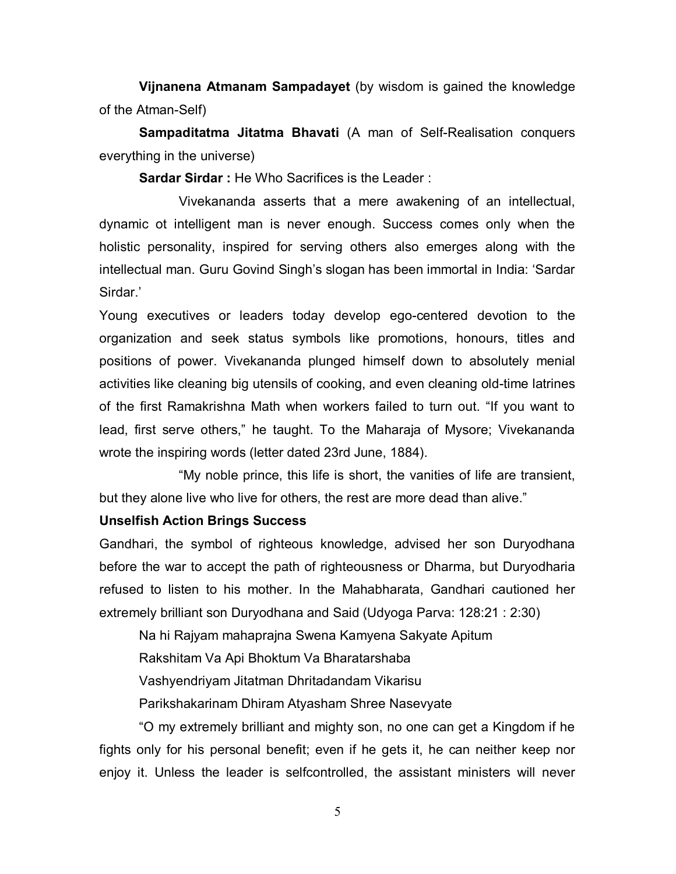**Vijnanena Atmanam Sampadayet** (by wisdom is gained the knowledge of the Atman-Self)

**Sampaditatma Jitatma Bhavati** (A man of Self-Realisation conquers everything in the universe)

**Sardar Sirdar :** He Who Sacrifices is the Leader :

Vivekananda asserts that a mere awakening of an intellectual, dynamic ot intelligent man is never enough. Success comes only when the holistic personality, inspired for serving others also emerges along with the intellectual man. Guru Govind Singh's slogan has been immortal in India: 'Sardar Sirdar.'

Young executives or leaders today develop ego-centered devotion to the organization and seek status symbols like promotions, honours, titles and positions of power. Vivekananda plunged himself down to absolutely menial activities like cleaning big utensils of cooking, and even cleaning old-time latrines of the first Ramakrishna Math when workers failed to turn out. "If you want to lead, first serve others," he taught. To the Maharaja of Mysore; Vivekananda wrote the inspiring words (letter dated 23rd June, 1884).

"My noble prince, this life is short, the vanities of life are transient, but they alone live who live for others, the rest are more dead than alive."

## **Unselfish Action Brings Success**

Gandhari, the symbol of righteous knowledge, advised her son Duryodhana before the war to accept the path of righteousness or Dharma, but Duryodharia refused to listen to his mother. In the Mahabharata, Gandhari cautioned her extremely brilliant son Duryodhana and Said (Udyoga Parva: 128:21 : 2:30)

Na hi Rajyam mahaprajna Swena Kamyena Sakyate Apitum

Rakshitam Va Api Bhoktum Va Bharatarshaba

Vashyendriyam Jitatman Dhritadandam Vikarisu

Parikshakarinam Dhiram Atyasham Shree Nasevyate

"O my extremely brilliant and mighty son, no one can get a Kingdom if he fights only for his personal benefit; even if he gets it, he can neither keep nor enjoy it. Unless the leader is selfcontrolled, the assistant ministers will never